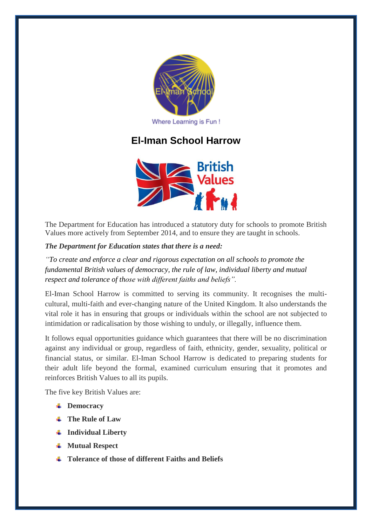

# **El-Iman School Harrow**



The Department for Education has introduced a statutory duty for schools to promote British Values more actively from September 2014, and to ensure they are taught in schools.

## *The Department for Education states that there is a need:*

*"To create and enforce a clear and rigorous expectation on all schools to promote the fundamental British values of democracy, the rule of law, individual liberty and mutual respect and tolerance of those with different faiths and beliefs".*

El-Iman School Harrow is committed to serving its community. It recognises the multicultural, multi-faith and ever-changing nature of the United Kingdom. It also understands the vital role it has in ensuring that groups or individuals within the school are not subjected to intimidation or radicalisation by those wishing to unduly, or illegally, influence them.

It follows equal opportunities guidance which guarantees that there will be no discrimination against any individual or group, regardless of faith, ethnicity, gender, sexuality, political or financial status, or similar. El-Iman School Harrow is dedicated to preparing students for their adult life beyond the formal, examined curriculum ensuring that it promotes and reinforces British Values to all its pupils.

The five key British Values are:

- **↓** Democracy
- **The Rule of Law**
- **Individual Liberty**
- **Mutual Respect**
- **Tolerance of those of different Faiths and Beliefs**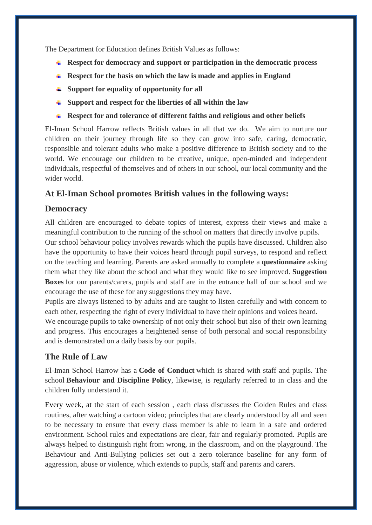The Department for Education defines British Values as follows:

- **Respect for democracy and support or participation in the democratic process**
- **Respect for the basis on which the law is made and applies in England**
- **Support for equality of opportunity for all**
- **Support and respect for the liberties of all within the law**
- **Respect for and tolerance of different faiths and religious and other beliefs**

El-Iman School Harrow reflects British values in all that we do. We aim to nurture our children on their journey through life so they can grow into safe, caring, democratic, responsible and tolerant adults who make a positive difference to British society and to the world. We encourage our children to be creative, unique, open-minded and independent individuals, respectful of themselves and of others in our school, our local community and the wider world.

# **At El-Iman School promotes British values in the following ways:**

## **Democracy**

All children are encouraged to debate topics of interest, express their views and make a meaningful contribution to the running of the school on matters that directly involve pupils.

Our school behaviour policy involves rewards which the pupils have discussed. Children also have the opportunity to have their voices heard through pupil surveys, to respond and reflect on the teaching and learning. Parents are asked annually to complete a **questionnaire** asking them what they like about the school and what they would like to see improved. **Suggestion Boxes** for our parents/carers, pupils and staff are in the entrance hall of our school and we encourage the use of these for any suggestions they may have.

Pupils are always listened to by adults and are taught to listen carefully and with concern to each other, respecting the right of every individual to have their opinions and voices heard.

We encourage pupils to take ownership of not only their school but also of their own learning and progress. This encourages a heightened sense of both personal and social responsibility and is demonstrated on a daily basis by our pupils.

# **The Rule of Law**

El-Iman School Harrow has a **Code of Conduct** which is shared with staff and pupils. The school **Behaviour and Discipline Policy**, likewise, is regularly referred to in class and the children fully understand it.

Every week, at the start of each session , each class discusses the Golden Rules and class routines, after watching a cartoon video; principles that are clearly understood by all and seen to be necessary to ensure that every class member is able to learn in a safe and ordered environment. School rules and expectations are clear, fair and regularly promoted. Pupils are always helped to distinguish right from wrong, in the classroom, and on the playground. The Behaviour and Anti-Bullying policies set out a zero tolerance baseline for any form of aggression, abuse or violence, which extends to pupils, staff and parents and carers.